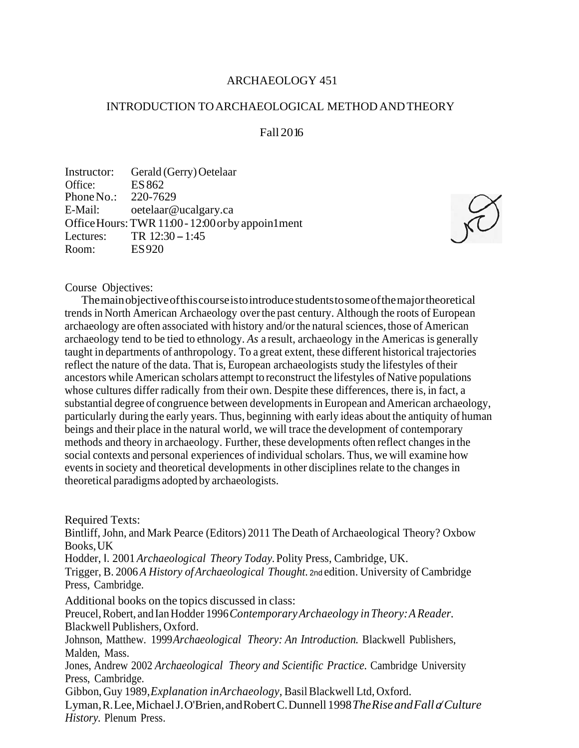# ARCHAEOLOGY 451

## INTRODUCTION TOARCHAEOLOGICAL METHOD ANDTHEORY

# Fall 2016

Instructor: Gerald (Gerry) Oetelaar Office: ES 862 Phone No.: 220-7629 E-Mail: [oetelaar@ucalgary.ca](mailto:oetelaar@ucalgary.ca) OfficeHours:TWR11:00- 12:00orby appoin1ment Lectures: TR 12:30 – 1:45<br>Room: ES 920 ES920



### Course Objectives:

Themainobjectiveofthiscourseistointroduce studentstosomeofthemajortheoretical trends in North American Archaeology overthe past century. Although the roots of European archaeology are often associated with history and/or the natural sciences, those of American archaeology tend to be tied to ethnology. *As* a result, archaeology in the Americas is generally taught in departments of anthropology. To a great extent, these different historical trajectories reflect the nature of the data. That is, European archaeologists study the lifestyles oftheir ancestors while American scholars attempt to reconstruct the lifestyles of Native populations whose cultures differ radically from their own. Despite these differences, there is, in fact, a substantial degree of congruence between developments in European and American archaeology, particularly during the early years. Thus, beginning with early ideas about the antiquity of human beings and their place in the natural world, we will trace the development of contemporary methods and theory in archaeology. Further, these developments often reflect changes in the social contexts and personal experiences of individual scholars. Thus, we will examine how eventsin society and theoretical developments in other disciplines relate to the changes in theoretical paradigms adopted by archaeologists.

Required Texts:

Bintliff, John, and Mark Pearce (Editors) 2011 The Death of Archaeological Theory? Oxbow Books,UK

Hodder, I. 2001 *Archaeological Theory Today.*Polity Press, Cambridge, UK.

Trigger, B. 2006 *A History ofArchaeological Thought.* 2nd edition. University of Cambridge Press, Cambridge.

Additional books on the topics discussed in class:

Preucel, Robert, and Ian Hodder 1996 Contemporary Archaeology in Theory: A Reader. Blackwell Publishers, Oxford.

Johnson, Matthew. 1999*Archaeological Theory: An Introduction.* Blackwell Publishers, Malden, Mass.

Jones, Andrew 2002 *Archaeological Theory and Scientific Practice.* Cambridge University Press, Cambridge.

Gibbon, Guy 1989,*Explanation inArchaeology,* BasilBlackwell Ltd, Oxford.

Lyman,R.Lee,MichaelJ.O'Brien,andRobertC.Dunnell 1998*TheRiseandFalla/Culture History.* Plenum Press.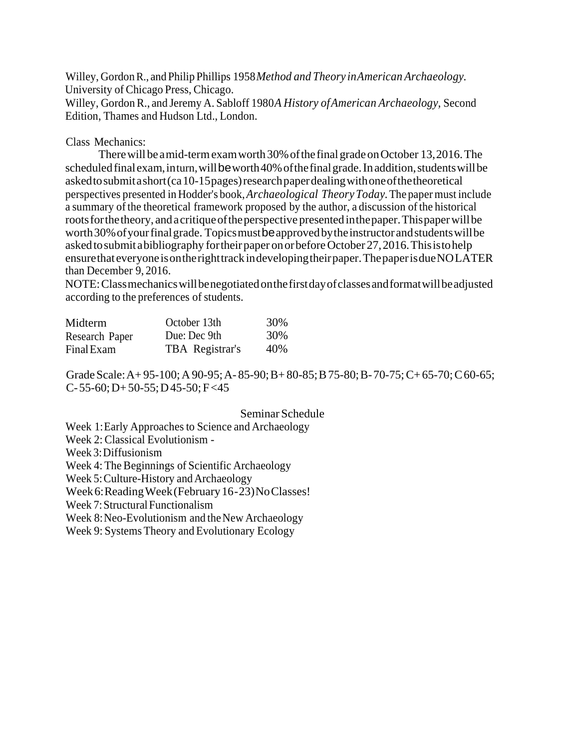Willey, GordonR., and Philip Phillips 1958*Method and Theory inAmerican Archaeology.* University of Chicago Press, Chicago. Willey, GordonR., and Jeremy A. Sabloff 1980*A History ofAmerican Archaeology,* Second Edition, Thames and Hudson Ltd., London.

## Class Mechanics:

There will be a mid-term exam worth 30% of the final grade on October 13, 2016. The scheduled finalexam, inturn, will be worth 40% of the final grade. In addition, students will be askedtosubmitashort(ca10-15pages)researchpaperdealingwithoneofthetheoretical perspectives presented in Hodder's book,*Archaeological Theory Today.*The paper must include a summary of the theoretical framework proposed by the author, a discussion of the historical roots for the theory, and a critique of the perspective presented in the paper. This paper will be worth 30% of your final grade. Topics must be approved by the instructor and students will be asked to submit a bibliography for their paper on orbefore October 27, 2016. This is to help ensurethateveryoneisontherighttrackindevelopingtheirpaper.ThepaperisdueNOLATER than December 9, 2016.

NOTE:Classmechanicswillbenegotiatedonthefirstdayofclassesandformatwillbeadjusted according to the preferences of students.

| Midterm        | October 13th    | 30% |
|----------------|-----------------|-----|
| Research Paper | Due: Dec 9th    | 30% |
| Final Exam     | TBA Registrar's | 40% |

Grade Scale: A + 95-100; A 90-95; A - 85-90; B + 80-85; B 75-80; B - 70-75; C + 65-70; C 60-65;  $C-55-60$ ; D $+50-55$ ; D $45-50$ ; F $<45$ 

## Seminar Schedule

Week 1: Early Approaches to Science and Archaeology Week 2: Classical Evolutionism - Week 3:Diffusionism Week 4: The Beginnings of Scientific Archaeology Week 5: Culture-History and Archaeology Week 6: Reading Week (February 16-23) No Classes! Week 7: Structural Functionalism Week 8: Neo-Evolutionism and the New Archaeology Week 9: Systems Theory and Evolutionary Ecology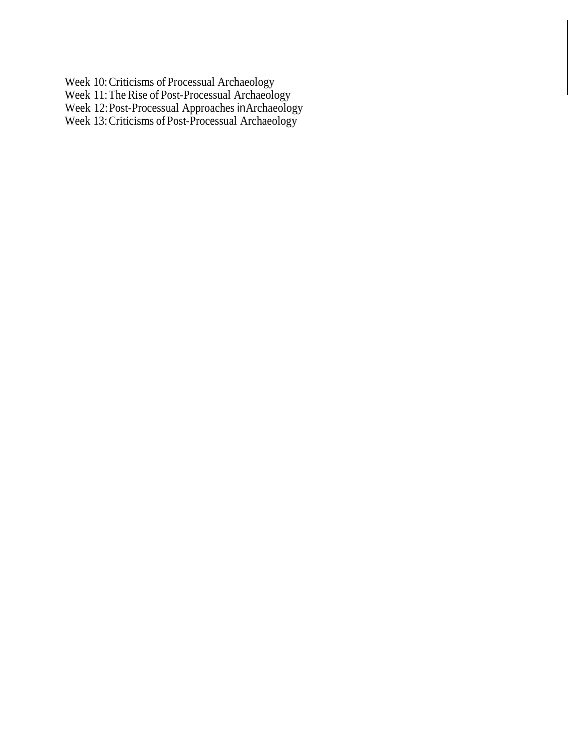Week 10:Criticisms of Processual Archaeology

Week 11:The Rise of Post-Processual Archaeology

Week 12:Post-Processual Approaches inArchaeology

Week 13:Criticisms of Post-Processual Archaeology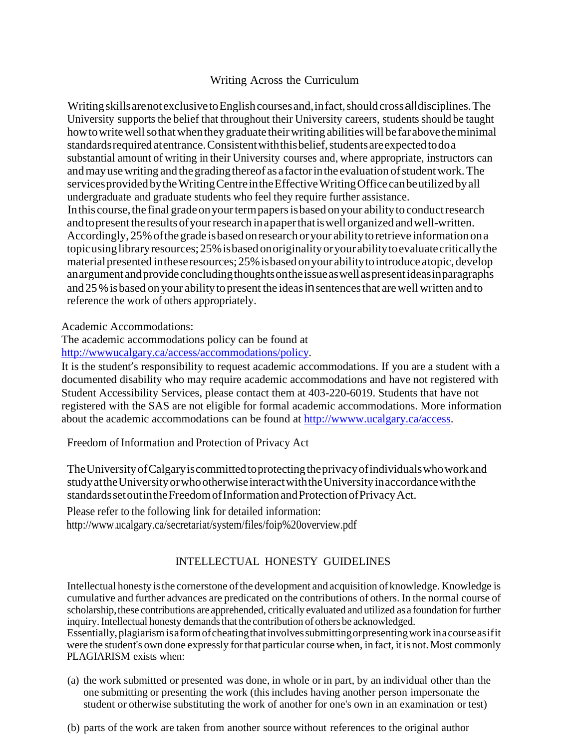# Writing Across the Curriculum

Writing skills are not exclusive to English courses and, in fact, should cross all disciplines. The University supports the belief that throughout their University careers, students should be taught how to write well so that when they graduate their writing abilities will be far above the minimal standards required at entrance. Consistent with this belief, students are expected to do a substantial amount of writing in their University courses and, where appropriate, instructors can and may use writing and the grading thereof as a factor in the evaluation of student work. The servicesprovided bytheWritingCentreintheEffectiveWritingOffice canbeutilizedbyall undergraduate and graduate students who feel they require further assistance. In this course, the final grade on your term papers is based on your ability to conduct research and to present the results of your research in a paper that is well organized and well-written. Accordingly, 25% of the grade is based on research or your ability to retrieve information on a topicusing library resources; 25% is based on originality or your ability to evaluate critically the material presented in these resources; 25% is based on your ability to introduce atopic, develop anargument andprovide concludingthoughtsontheissueaswellaspresentideasinparagraphs and 25% is based on your ability to present the ideas in sentences that are well written and to reference the work of others appropriately.

Academic Accommodations:

The academic accommodations policy can be found at

[http://wwwucalgary.ca/access/accommodations/policy.](http://wwwucalgary.ca/access/accommodations/policy)

It is the student's responsibility to request academic accommodations. If you are a student with a documented disability who may require academic accommodations and have not registered with Student Accessibility Services, please contact them at 403-220-6019. Students that have not registered with the SAS are not eligible for formal academic accommodations. More information about the academic accommodations can be found at [http://wwww.ucalgary.ca/access.](http://wwww.ucalgary.ca/access)

Freedom of Information and Protection of Privacy Act

TheUniversityofCalgaryiscommittedtoprotectingtheprivacyofindividualswhoworkand studyattheUniversityorwhootherwiseinteractwiththeUniversity inaccordancewiththe standardssetoutintheFreedomofInformationandProtectionofPrivacyAct.

Please refer to the following link for detailed information: <http://www.ucalgary.ca/secretariat/system/files/foip%20overview.pdf>

# INTELLECTUAL HONESTY GUIDELINES

Intellectual honesty isthe cornerstone ofthe development and acquisition of knowledge. Knowledge is cumulative and further advances are predicated on the contributions of others. In the normal course of scholarship, these contributions are apprehended, critically evaluated and utilized as a foundation for further inquiry. Intellectual honesty demands that the contribution of others be acknowledged. Essentially,plagiarismisaformofcheatingthatinvolvessubmittingorpresentingworkinacourseasifit were the student's own done expressly forthat particular course when, in fact, it isnot.Most commonly PLAGIARISM exists when:

- (a) the work submitted or presented was done, in whole or in part, by an individual other than the one submitting or presenting the work (thisincludes having another person impersonate the student or otherwise substituting the work of another for one's own in an examination or test)
- (b) parts of the work are taken from another source without references to the original author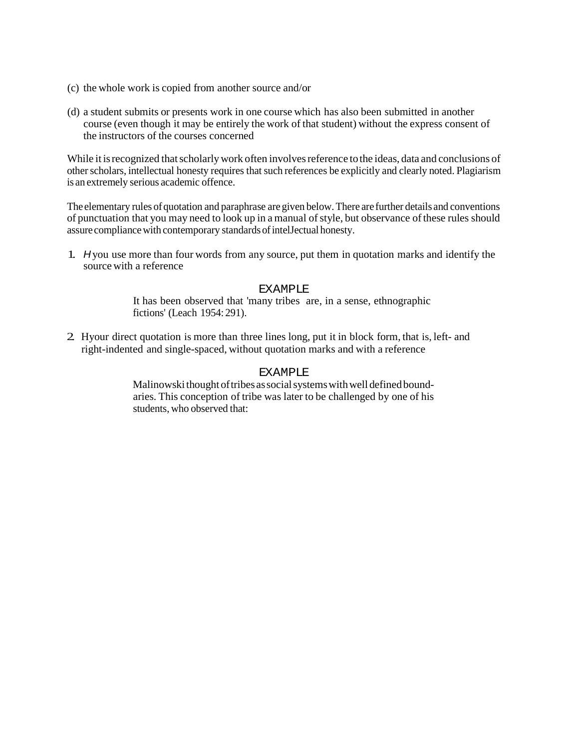- (c) the whole work is copied from another source and/or
- (d) a student submits or presents work in one course which has also been submitted in another course (even though it may be entirely the work of that student) without the express consent of the instructors of the courses concerned

While it is recognized that scholarly work often involves reference to the ideas, data and conclusions of other scholars, intellectual honesty requires that such references be explicitly and clearly noted. Plagiarism is an extremely serious academic offence.

The elementary rules of quotation and paraphrase are given below. There are further details and conventions of punctuation that you may need to look up in a manual of style, but observance of these rules should assure compliancewith contemporary standardsofintelJectual honesty.

1. *H* you use more than four words from any source, put them in quotation marks and identify the source with a reference

## **EXAMPLE**

It has been observed that 'many tribes are, in a sense, ethnographic fictions' (Leach 1954: 291).

2. Hyour direct quotation is more than three lines long, put it in block form, that is, left- and right-indented and single-spaced, without quotation marks and with a reference

#### EXAMPLE

Malinowski thought of tribes as social systems with well defined boundaries. This conception of tribe was later to be challenged by one of his students, who observed that: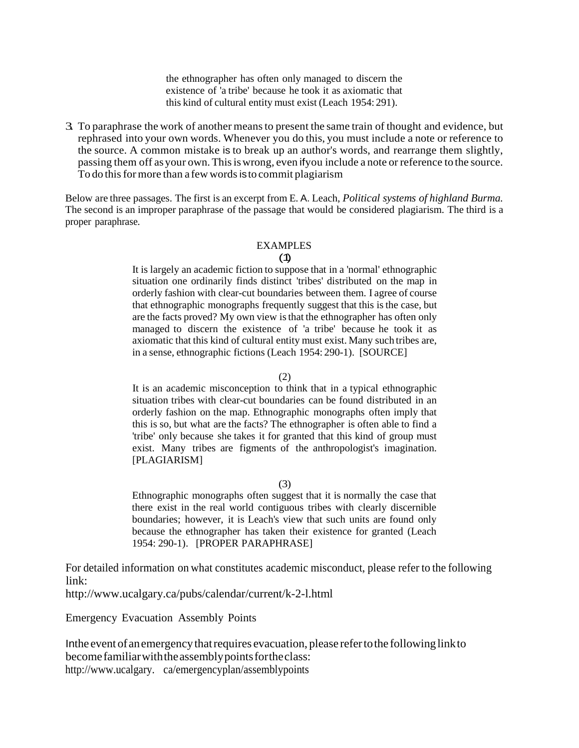the ethnographer has often only managed to discern the existence of 'a tribe' because he took it as axiomatic that this kind of cultural entity must exist (Leach 1954: 291).

3. To paraphrase the work of another meansto present the same train of thought and evidence, but rephrased into your own words. Whenever you do this, you must include a note or reference to the source. A common mistake is to break up an author's words, and rearrange them slightly, passing them off as your own.Thisiswrong, even ifyou include a note or reference to the source. To do this for more than a few words is to commit plagiarism

Below are three passages. The first is an excerpt from E. A. Leach, *Political systems of highland Burma.* The second is an improper paraphrase of the passage that would be considered plagiarism. The third is a proper paraphrase.

#### EXAMPLES

#### (1)

It is largely an academic fiction to suppose that in a 'normal' ethnographic situation one ordinarily finds distinct 'tribes' distributed on the map in orderly fashion with clear-cut boundaries between them. I agree of course that ethnographic monographs frequently suggest that this isthe case, but are the facts proved? My own view isthat the ethnographer has often only managed to discern the existence of 'a tribe' because he took it as axiomatic that this kind of cultural entity must exist. Many such tribes are, in a sense, ethnographic fictions (Leach 1954: 290-1). [SOURCE]

#### (2)

It is an academic misconception to think that in a typical ethnographic situation tribes with clear-cut boundaries can be found distributed in an orderly fashion on the map. Ethnographic monographs often imply that this is so, but what are the facts? The ethnographer is often able to find a 'tribe' only because she takes it for granted that this kind of group must exist. Many tribes are figments of the anthropologist's imagination. [PLAGIARISM]

### (3)

Ethnographic monographs often suggest that it is normally the case that there exist in the real world contiguous tribes with clearly discernible boundaries; however, it is Leach's view that such units are found only because the ethnographer has taken their existence for granted (Leach 1954: 290-1). [PROPER PARAPHRASE]

For detailed information on what constitutes academic misconduct, please refer to the following link:

<http://www.ucalgary.ca/pubs/calendar/current/k-2-l.html>

Emergency Evacuation Assembly Points

In the event of an emergency that requires evacuation, please refer to the following link to become familiarwiththeassemblypointsfortheclass: http://www.ucalgary. ca/emergencyplan/assemblypoints